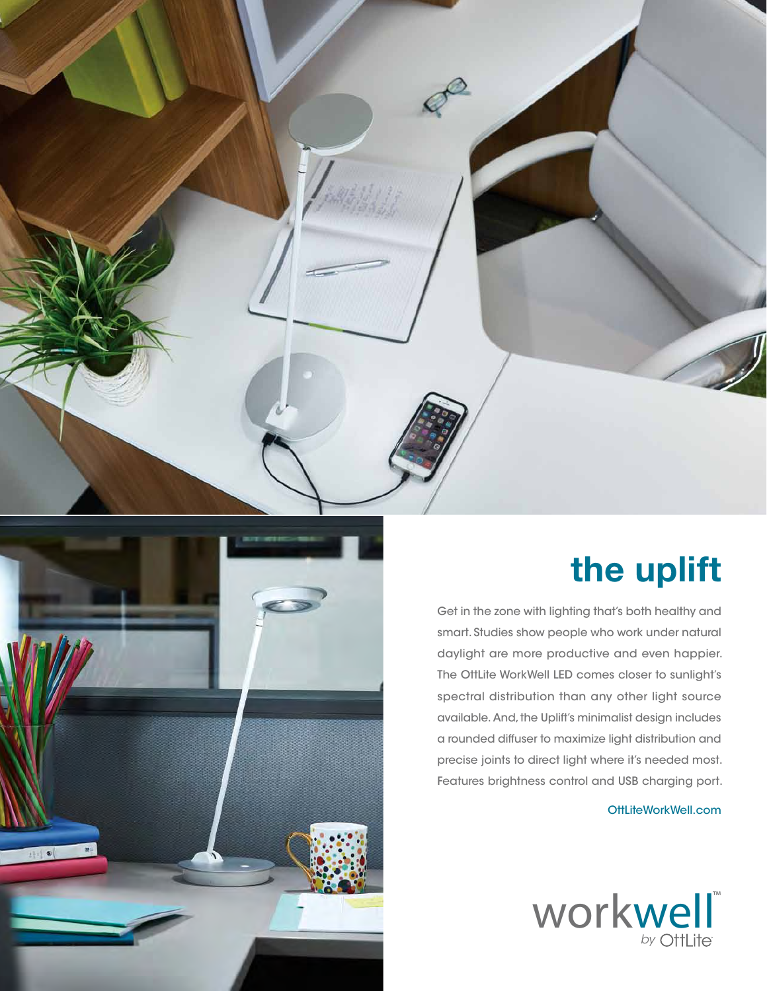

## **the uplift**

Get in the zone with lighting that's both healthy and smart. Studies show people who work under natural daylight are more productive and even happier. The OttLite WorkWell LED comes closer to sunlight's spectral distribution than any other light source available. And, the Uplift's minimalist design includes a rounded diffuser to maximize light distribution and precise joints to direct light where it's needed most. Features brightness control and USB charging port.

OttLiteWorkWell.com